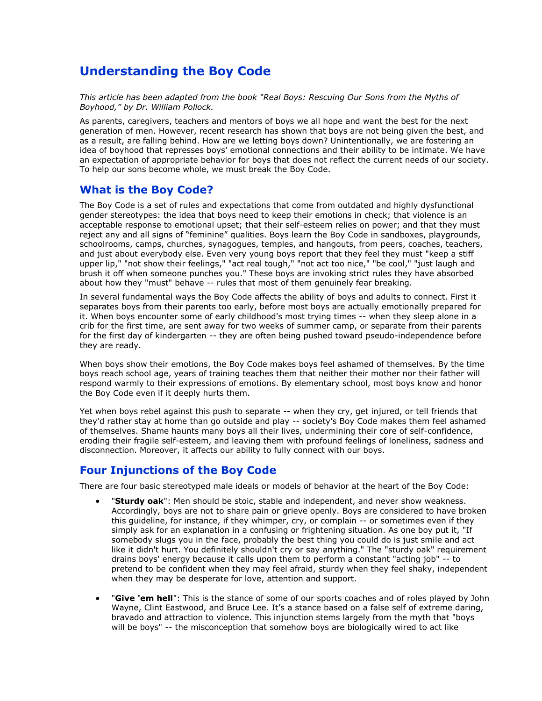# **Understanding the Boy Code**

*This article has been adapted from the book "Real Boys: Rescuing Our Sons from the Myths of Boyhood," by Dr. William Pollock.*

As parents, caregivers, teachers and mentors of boys we all hope and want the best for the next generation of men. However, recent research has shown that boys are not being given the best, and as a result, are falling behind. How are we letting boys down? Unintentionally, we are fostering an idea of boyhood that represses boys' emotional connections and their ability to be intimate. We have an expectation of appropriate behavior for boys that does not reflect the current needs of our society. To help our sons become whole, we must break the Boy Code.

# **What is the Boy Code?**

The Boy Code is a set of rules and expectations that come from outdated and highly dysfunctional gender stereotypes: the idea that boys need to keep their emotions in check; that violence is an acceptable response to emotional upset; that their self-esteem relies on power; and that they must reject any and all signs of "feminine" qualities. Boys learn the Boy Code in sandboxes, playgrounds, schoolrooms, camps, churches, synagogues, temples, and hangouts, from peers, coaches, teachers, and just about everybody else. Even very young boys report that they feel they must "keep a stiff upper lip," "not show their feelings," "act real tough," "not act too nice," "be cool," "just laugh and brush it off when someone punches you." These boys are invoking strict rules they have absorbed about how they "must" behave -- rules that most of them genuinely fear breaking.

In several fundamental ways the Boy Code affects the ability of boys and adults to connect. First it separates boys from their parents too early, before most boys are actually emotionally prepared for it. When boys encounter some of early childhood's most trying times -- when they sleep alone in a crib for the first time, are sent away for two weeks of summer camp, or separate from their parents for the first day of kindergarten -- they are often being pushed toward pseudo-independence before they are ready.

When boys show their emotions, the Boy Code makes boys feel ashamed of themselves. By the time boys reach school age, years of training teaches them that neither their mother nor their father will respond warmly to their expressions of emotions. By elementary school, most boys know and honor the Boy Code even if it deeply hurts them.

Yet when boys rebel against this push to separate -- when they cry, get injured, or tell friends that they'd rather stay at home than go outside and play -- society's Boy Code makes them feel ashamed of themselves. Shame haunts many boys all their lives, undermining their core of self-confidence, eroding their fragile self-esteem, and leaving them with profound feelings of loneliness, sadness and disconnection. Moreover, it affects our ability to fully connect with our boys.

## **Four Injunctions of the Boy Code**

There are four basic stereotyped male ideals or models of behavior at the heart of the Boy Code:

- "**Sturdy oak**": Men should be stoic, stable and independent, and never show weakness. Accordingly, boys are not to share pain or grieve openly. Boys are considered to have broken this guideline, for instance, if they whimper, cry, or complain -- or sometimes even if they simply ask for an explanation in a confusing or frightening situation. As one boy put it, "If somebody slugs you in the face, probably the best thing you could do is just smile and act like it didn't hurt. You definitely shouldn't cry or say anything." The "sturdy oak" requirement drains boys' energy because it calls upon them to perform a constant "acting job" -- to pretend to be confident when they may feel afraid, sturdy when they feel shaky, independent when they may be desperate for love, attention and support.
- "**Give 'em hell**": This is the stance of some of our sports coaches and of roles played by John Wayne, Clint Eastwood, and Bruce Lee. It's a stance based on a false self of extreme daring, bravado and attraction to violence. This injunction stems largely from the myth that "boys will be boys" -- the misconception that somehow boys are biologically wired to act like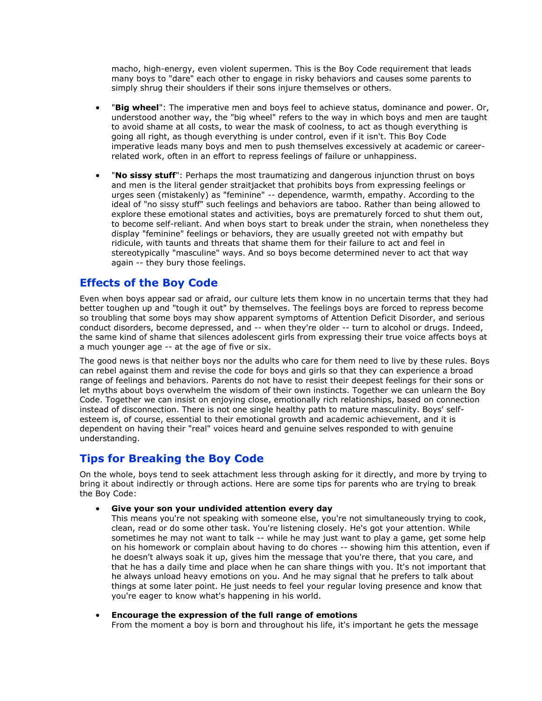macho, high-energy, even violent supermen. This is the Boy Code requirement that leads many boys to "dare" each other to engage in risky behaviors and causes some parents to simply shrug their shoulders if their sons injure themselves or others.

- "**Big wheel**": The imperative men and boys feel to achieve status, dominance and power. Or, understood another way, the "big wheel" refers to the way in which boys and men are taught to avoid shame at all costs, to wear the mask of coolness, to act as though everything is going all right, as though everything is under control, even if it isn't. This Boy Code imperative leads many boys and men to push themselves excessively at academic or careerrelated work, often in an effort to repress feelings of failure or unhappiness.
- "**No sissy stuff**": Perhaps the most traumatizing and dangerous injunction thrust on boys and men is the literal gender straitjacket that prohibits boys from expressing feelings or urges seen (mistakenly) as "feminine" -- dependence, warmth, empathy. According to the ideal of "no sissy stuff" such feelings and behaviors are taboo. Rather than being allowed to explore these emotional states and activities, boys are prematurely forced to shut them out, to become self-reliant. And when boys start to break under the strain, when nonetheless they display "feminine" feelings or behaviors, they are usually greeted not with empathy but ridicule, with taunts and threats that shame them for their failure to act and feel in stereotypically "masculine" ways. And so boys become determined never to act that way again -- they bury those feelings.

# **Effects of the Boy Code**

Even when boys appear sad or afraid, our culture lets them know in no uncertain terms that they had better toughen up and "tough it out" by themselves. The feelings boys are forced to repress become so troubling that some boys may show apparent symptoms of Attention Deficit Disorder, and serious conduct disorders, become depressed, and -- when they're older -- turn to alcohol or drugs. Indeed, the same kind of shame that silences adolescent girls from expressing their true voice affects boys at a much younger age -- at the age of five or six.

The good news is that neither boys nor the adults who care for them need to live by these rules. Boys can rebel against them and revise the code for boys and girls so that they can experience a broad range of feelings and behaviors. Parents do not have to resist their deepest feelings for their sons or let myths about boys overwhelm the wisdom of their own instincts. Together we can unlearn the Boy Code. Together we can insist on enjoying close, emotionally rich relationships, based on connection instead of disconnection. There is not one single healthy path to mature masculinity. Boys' selfesteem is, of course, essential to their emotional growth and academic achievement, and it is dependent on having their "real" voices heard and genuine selves responded to with genuine understanding.

# **Tips for Breaking the Boy Code**

On the whole, boys tend to seek attachment less through asking for it directly, and more by trying to bring it about indirectly or through actions. Here are some tips for parents who are trying to break the Boy Code:

- **Give your son your undivided attention every day**
	- This means you're not speaking with someone else, you're not simultaneously trying to cook, clean, read or do some other task. You're listening closely. He's got your attention. While sometimes he may not want to talk -- while he may just want to play a game, get some help on his homework or complain about having to do chores -- showing him this attention, even if he doesn't always soak it up, gives him the message that you're there, that you care, and that he has a daily time and place when he can share things with you. It's not important that he always unload heavy emotions on you. And he may signal that he prefers to talk about things at some later point. He just needs to feel your regular loving presence and know that you're eager to know what's happening in his world.

### **Encourage the expression of the full range of emotions**

From the moment a boy is born and throughout his life, it's important he gets the message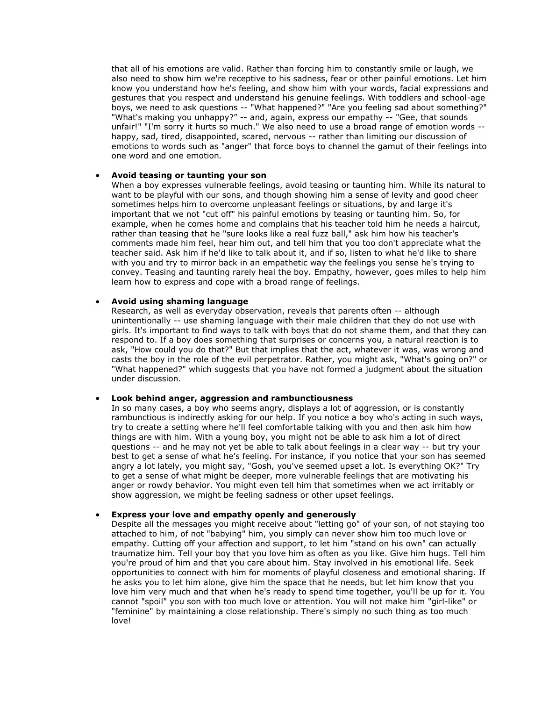that all of his emotions are valid. Rather than forcing him to constantly smile or laugh, we also need to show him we're receptive to his sadness, fear or other painful emotions. Let him know you understand how he's feeling, and show him with your words, facial expressions and gestures that you respect and understand his genuine feelings. With toddlers and school-age boys, we need to ask questions -- "What happened?" "Are you feeling sad about something?" "What's making you unhappy?" -- and, again, express our empathy -- "Gee, that sounds unfair!" "I'm sorry it hurts so much." We also need to use a broad range of emotion words - happy, sad, tired, disappointed, scared, nervous -- rather than limiting our discussion of emotions to words such as "anger" that force boys to channel the gamut of their feelings into one word and one emotion.

### **Avoid teasing or taunting your son**

When a boy expresses vulnerable feelings, avoid teasing or taunting him. While its natural to want to be playful with our sons, and though showing him a sense of levity and good cheer sometimes helps him to overcome unpleasant feelings or situations, by and large it's important that we not "cut off" his painful emotions by teasing or taunting him. So, for example, when he comes home and complains that his teacher told him he needs a haircut, rather than teasing that he "sure looks like a real fuzz ball," ask him how his teacher's comments made him feel, hear him out, and tell him that you too don't appreciate what the teacher said. Ask him if he'd like to talk about it, and if so, listen to what he'd like to share with you and try to mirror back in an empathetic way the feelings you sense he's trying to convey. Teasing and taunting rarely heal the boy. Empathy, however, goes miles to help him learn how to express and cope with a broad range of feelings.

#### **Avoid using shaming language**

Research, as well as everyday observation, reveals that parents often -- although unintentionally -- use shaming language with their male children that they do not use with girls. It's important to find ways to talk with boys that do not shame them, and that they can respond to. If a boy does something that surprises or concerns you, a natural reaction is to ask, "How could you do that?" But that implies that the act, whatever it was, was wrong and casts the boy in the role of the evil perpetrator. Rather, you might ask, "What's going on?" or "What happened?" which suggests that you have not formed a judgment about the situation under discussion.

#### **Look behind anger, aggression and rambunctiousness**

In so many cases, a boy who seems angry, displays a lot of aggression, or is constantly rambunctious is indirectly asking for our help. If you notice a boy who's acting in such ways, try to create a setting where he'll feel comfortable talking with you and then ask him how things are with him. With a young boy, you might not be able to ask him a lot of direct questions -- and he may not yet be able to talk about feelings in a clear way -- but try your best to get a sense of what he's feeling. For instance, if you notice that your son has seemed angry a lot lately, you might say, "Gosh, you've seemed upset a lot. Is everything OK?" Try to get a sense of what might be deeper, more vulnerable feelings that are motivating his anger or rowdy behavior. You might even tell him that sometimes when we act irritably or show aggression, we might be feeling sadness or other upset feelings.

#### **Express your love and empathy openly and generously**

Despite all the messages you might receive about "letting go" of your son, of not staying too attached to him, of not "babying" him, you simply can never show him too much love or empathy. Cutting off your affection and support, to let him "stand on his own" can actually traumatize him. Tell your boy that you love him as often as you like. Give him hugs. Tell him you're proud of him and that you care about him. Stay involved in his emotional life. Seek opportunities to connect with him for moments of playful closeness and emotional sharing. If he asks you to let him alone, give him the space that he needs, but let him know that you love him very much and that when he's ready to spend time together, you'll be up for it. You cannot "spoil" you son with too much love or attention. You will not make him "girl-like" or "feminine" by maintaining a close relationship. There's simply no such thing as too much love!